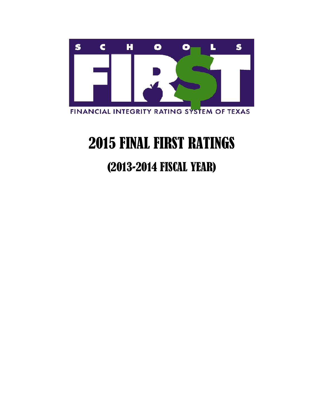

# 2015 FINAL FIRST RATINGS

# (2013-2014 FISCAL YEAR)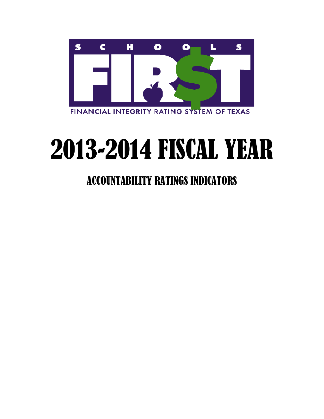

# 2013-2014 FISCAL YEAR

## ACCOUNTABILITY RATINGS INDICATORS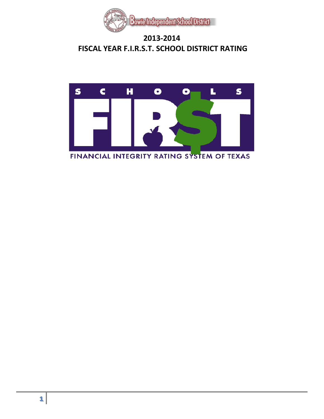

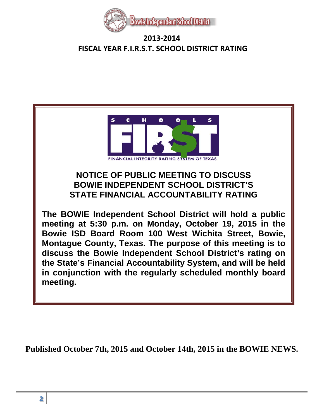



**Published October 7th, 2015 and October 14th, 2015 in the BOWIE NEWS.**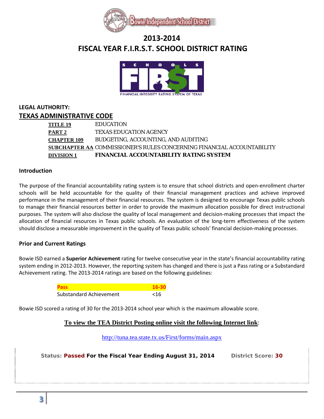



#### **LEGAL AUTHORITY: TEXAS ADMINISTRATIVE CODE**

| DIVISION 1  | <b>FINANCIAL ACCOUNTABILITY RATING SYSTEM</b>                          |
|-------------|------------------------------------------------------------------------|
|             | SUBCHAPTER AA COMMISSIONER'S RULES CONCERNING FINANCIAL ACCOUNTABILITY |
| CHAPTER 109 | BUDGETING, ACCOUNTING, AND AUDITING                                    |
| PART 2      | <b>TEXAS EDUCATION AGENCY</b>                                          |
| TITLE 19    | <b>EDUCATION</b>                                                       |

#### **Introduction**

The purpose of the financial accountability rating system is to ensure that school districts and open-enrollment charter schools will be held accountable for the quality of their financial management practices and achieve improved performance in the management of their financial resources. The system is designed to encourage Texas public schools to manage their financial resources better in order to provide the maximum allocation possible for direct instructional purposes. The system will also disclose the quality of local management and decision-making processes that impact the allocation of financial resources in Texas public schools. An evaluation of the long-term effectiveness of the system should disclose a measurable improvement in the quality of Texas public schools' financial decision-making processes.

#### **Prior and Current Ratings**

Bowie ISD earned a **Superior Achievement** rating for twelve consecutive year in the state's financial accountability rating system ending in 2012-2013. However, the reporting system has changed and there is just a Pass rating or a Substandard Achievement rating. The 2013-2014 ratings are based on the following guidelines:

| <b>Pass</b>             | 16-30 |
|-------------------------|-------|
| Substandard Achievement | ~16   |

Bowie ISD scored a rating of 30 for the 2013-2014 school year which is the maximum allowable score.

#### **To view the TEA District Posting online visit the following Internet link**:

<http://tuna.tea.state.tx.us/First/forms/main.aspx>

**Status: Passed For the Fiscal Year Ending August 31, 2014 District Score: 30**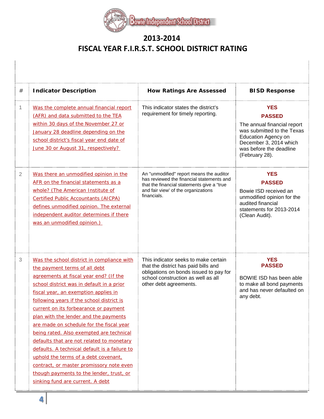

| # | <b>Indicator Description</b>                                                                                                                                                                                                                                                                                                                                                                                                                                                                                                                                                                                                                                                                        | <b>How Ratings Are Assessed</b>                                                                                                                                                            | <b>BISD Response</b>                                                                                                                                                                          |
|---|-----------------------------------------------------------------------------------------------------------------------------------------------------------------------------------------------------------------------------------------------------------------------------------------------------------------------------------------------------------------------------------------------------------------------------------------------------------------------------------------------------------------------------------------------------------------------------------------------------------------------------------------------------------------------------------------------------|--------------------------------------------------------------------------------------------------------------------------------------------------------------------------------------------|-----------------------------------------------------------------------------------------------------------------------------------------------------------------------------------------------|
| 1 | Was the complete annual financial report<br>(AFR) and data submitted to the TEA<br>within 30 days of the November 27 or<br>January 28 deadline depending on the<br>school district's fiscal year end date of<br>June 30 or August 31, respectively?                                                                                                                                                                                                                                                                                                                                                                                                                                                 | This indicator states the district's<br>requirement for timely reporting.                                                                                                                  | <b>YES</b><br><b>PASSED</b><br>The annual financial report<br>was submitted to the Texas<br><b>Education Agency on</b><br>December 3, 2014 which<br>was before the deadline<br>(February 28). |
| 2 | Was there an unmodified opinion in the<br>AFR on the financial statements as a<br>whole? (The American Institute of<br><b>Certified Public Accountants (AICPA)</b><br>defines unmodified opinion. The external<br>independent auditor determines if there<br>was an unmodified opinion.)                                                                                                                                                                                                                                                                                                                                                                                                            | An "unmodified" report means the auditor<br>has reviewed the financial statements and<br>that the financial statements give a "true"<br>and fair view' of the organizations<br>financials. | <b>YES</b><br><b>PASSED</b><br>Bowie ISD received an<br>unmodified opinion for the<br>audited financial<br>statements for 2013-2014<br>(Clean Audit).                                         |
| 3 | Was the school district in compliance with<br>the payment terms of all debt<br>agreements at fiscal year end? (If the<br>school district was in default in a prior<br>fiscal year, an exemption applies in<br>following years if the school district is<br>current on its forbearance or payment<br>plan with the lender and the payments<br>are made on schedule for the fiscal year<br>being rated. Also exempted are technical<br>defaults that are not related to monetary<br>defaults. A technical default is a failure to<br>uphold the terms of a debt covenant,<br>contract, or master promissory note even<br>though payments to the lender, trust, or<br>sinking fund are current. A debt | This indicator seeks to make certain<br>that the district has paid bills and<br>obligations on bonds issued to pay for<br>school construction as well as all<br>other debt agreements.     | <b>YES</b><br><b>PASSED</b><br>BOWIE ISD has been able<br>to make all bond payments<br>and has never defaulted on<br>any debt.                                                                |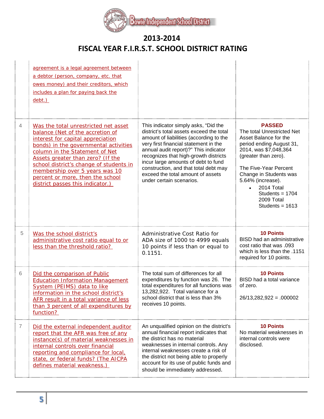$\operatorname{Bowle}$  Independent School District

## **2013-2014 FISCAL YEAR F.I.R.S.T. SCHOOL DISTRICT RATING**

|                | agreement is a legal agreement between<br>a debtor (person, company, etc. that<br>owes money) and their creditors, which<br>includes a plan for paying back the<br>debt.)                                                                                                                                                                                                          |                                                                                                                                                                                                                                                                                                                                                                                                         |                                                                                                                                                                                                                                                                                                              |
|----------------|------------------------------------------------------------------------------------------------------------------------------------------------------------------------------------------------------------------------------------------------------------------------------------------------------------------------------------------------------------------------------------|---------------------------------------------------------------------------------------------------------------------------------------------------------------------------------------------------------------------------------------------------------------------------------------------------------------------------------------------------------------------------------------------------------|--------------------------------------------------------------------------------------------------------------------------------------------------------------------------------------------------------------------------------------------------------------------------------------------------------------|
| $\overline{4}$ | Was the total unrestricted net asset<br>balance (Net of the accretion of<br>interest for capital appreciation<br>bonds) in the governmental activities<br>column in the Statement of Net<br>Assets greater than zero? (If the<br>school district's change of students in<br>membership over 5 years was 10<br>percent or more, then the school<br>district passes this indicator.) | This indicator simply asks, "Did the<br>district's total assets exceed the total<br>amount of liabilities (according to the<br>very first financial statement in the<br>annual audit report)?" This indicator<br>recognizes that high-growth districts<br>incur large amounts of debt to fund<br>construction, and that total debt may<br>exceed the total amount of assets<br>under certain scenarios. | <b>PASSED</b><br>The total Unrestricted Net<br>Asset Balance for the<br>period ending August 31,<br>2014, was \$7,048,364<br>(greater than zero).<br>The Five-Year Percent<br>Change in Students was<br>5.64% (increase).<br>2014 Total<br>$\bullet$<br>Students = $1704$<br>2009 Total<br>Students = $1613$ |
| 5              | Was the school district's<br>administrative cost ratio equal to or<br>less than the threshold ratio?                                                                                                                                                                                                                                                                               | Administrative Cost Ratio for<br>ADA size of 1000 to 4999 equals<br>10 points if less than or equal to<br>0.1151.                                                                                                                                                                                                                                                                                       | <b>10 Points</b><br><b>BISD</b> had an administrative<br>cost ratio that was .093<br>which is less than the .1151<br>required for 10 points.                                                                                                                                                                 |
| 6              | Did the comparison of Public<br><b>Education Information Management</b><br>System (PEIMS) data to like<br>information in the school district's<br>AFR result in a total variance of less<br>than 3 percent of all expenditures by<br>function?                                                                                                                                     | The total sum of differences for all<br>expenditures by function was 26. The<br>total expenditures for all functions was<br>13,282,922. Total variance for a<br>school district that is less than 3%<br>receives 10 points.                                                                                                                                                                             | <b>10 Points</b><br>BISD had a total variance<br>of zero.<br>$26/13,282,922 = .000002$                                                                                                                                                                                                                       |
| 7              | Did the external independent auditor<br>report that the AFR was free of any<br>instance(s) of material weaknesses in<br>internal controls over financial<br>reporting and compliance for local,<br>state, or federal funds? (The AICPA<br>defines material weakness.)                                                                                                              | An unqualified opinion on the district's<br>annual financial report indicates that<br>the district has no material<br>weaknesses in internal controls. Any<br>internal weaknesses create a risk of<br>the district not being able to properly<br>account for its use of public funds and<br>should be immediately addressed.                                                                            | <b>10 Points</b><br>No material weaknesses in<br>internal controls were<br>disclosed.                                                                                                                                                                                                                        |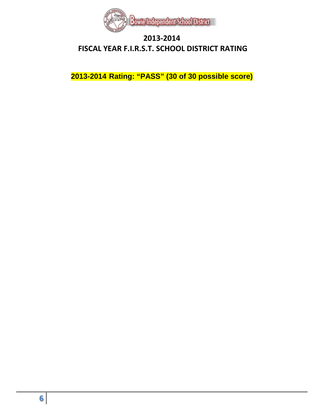

**2013-2014 Rating: "PASS" (30 of 30 possible score)**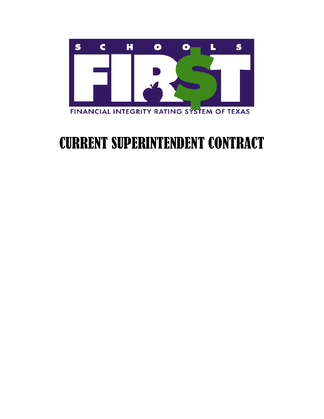

# CURRENT SUPERINTENDENT CONTRACT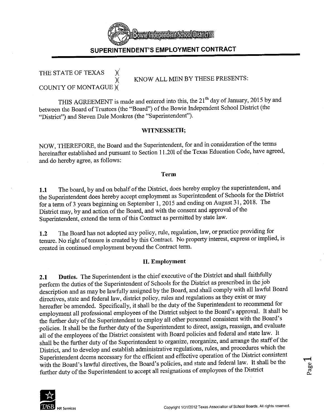

#### THE STATE OF TEXAS X  $\chi$ **COUNTY OF MONTAGUE )(**

KNOW ALL MEN BY THESE PRESENTS:

THIS AGREEMENT is made and entered into this, the 21<sup>th</sup> day of January, 2015 by and between the Board of Trustees (the "Board") of the Bowie Independent School District (the "District") and Steven Dale Monkres (the "Superintendent").

#### WITNESSETH;

NOW, THEREFORE, the Board and the Superintendent, for and in consideration of the terms hereinafter established and pursuant to Section 11.201 of the Texas Education Code, have agreed, and do hereby agree, as follows:

#### Term

The board, by and on behalf of the District, does hereby employ the superintendent, and 1.1 the Superintendent does hereby accept employment as Superintendent of Schools for the District for a term of 3 years beginning on September 1, 2015 and ending on August 31, 2018. The District may, by and action of the Board, and with the consent and approval of the Superintendent, extend the term of this Contract as permitted by state law.

The Board has not adopted any policy, rule, regulation, law, or practice providing for  $1.2$ tenure. No right of tenure is created by this Contract. No property interest, express or implied, is created in continued employment beyond the Contract term.

#### **II. Employment**

Duties. The Superintendent is the chief executive of the District and shall faithfully  $2.1$ perform the duties of the Superintendent of Schools for the District as prescribed in the job description and as may be lawfully assigned by the Board, and shall comply with all lawful Board directives, state and federal law, district policy, rules and regulations as they exist or may hereafter be amended. Specifically, it shall be the duty of the Superintendent to recommend for employment all professional employees of the District subject to the Board's approval. It shall be the further duty of the Superintendent to employ all other personnel consistent with the Board's policies. It shall be the further duty of the Superintendent to direct, assign, reassign, and evaluate all of the employees of the District consistent with Board policies and federal and state law. It shall be the further duty of the Superintendent to organize, reorganize, and arrange the staff of the District, and to develop and establish administrative regulations, rules, and procedures which the Superintendent deems necessary for the efficient and effective operation of the District consistent with the Board's lawful directives, the Board's policies, and state and federal law. It shall be the further duty of the Superintendent to accept all resignations of employees of the District



Page.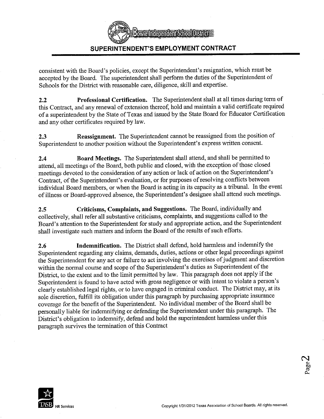**Bowelnderendem School Districts** 

#### SUPERINTENDENT'S EMPLOYMENT CONTRACT

consistent with the Board's policies, except the Superintendent's resignation, which must be accepted by the Board. The superintendent shall perform the duties of the Superintendent of Schools for the District with reasonable care, diligence, skill and expertise.

Professional Certification. The Superintendent shall at all times during term of  $2.2$ this Contract, and any renewal of extension thereof, hold and maintain a valid certificate required of a superintendent by the State of Texas and issued by the State Board for Educator Certification and any other certificates required by law.

Reassignment. The Superintendent cannot be reassigned from the position of 2.3 Superintendent to another position without the Superintendent's express written consent.

Board Meetings. The Superintendent shall attend, and shall be permitted to  $2.4$ attend, all meetings of the Board, both public and closed, with the exception of those closed meetings devoted to the consideration of any action or lack of action on the Superintendent's Contract, of the Superintendent's evaluation, or for purposes of resolving conflicts between individual Board members, or when the Board is acting in its capacity as a tribunal. In the event of illness or Board-approved absence, the Superintendent's designee shall attend such meetings.

Criticisms, Complaints, and Suggestions. The Board, individually and  $2.5$ collectively, shall refer all substantive criticisms, complaints, and suggestions called to the Board's attention to the Superintendent for study and appropriate action, and the Superintendent shall investigate such matters and inform the Board of the results of such efforts.

Indemnification. The District shall defend, hold harmless and indemnify the 2.6 Superintendent regarding any claims, demands, duties, actions or other legal proceedings against the Superintendent for any act or failure to act involving the exercises of judgment and discretion within the normal course and scope of the Superintendent's duties as Superintendent of the District, to the extent and to the limit permitted by law. This paragraph does not apply if the Superintendent is found to have acted with gross negligence or with intent to violate a person's clearly established legal rights, or to have engaged in criminal conduct. The District may, at its sole discretion, fulfill its obligation under this paragraph by purchasing appropriate insurance coverage for the benefit of the Superintendent. No individual member of the Board shall be personally liable for indemnifying or defending the Superintendent under this paragraph. The District's obligation to indemnify, defend and hold the superintendent harmless under this paragraph survives the termination of this Contract

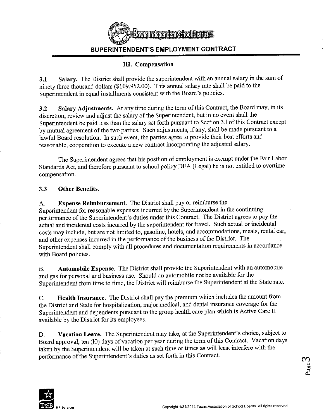

#### III. Compensation

Salary. The District shall provide the superintendent with an annual salary in the sum of  $3.1$ ninety three thousand dollars (\$109,952.00). This annual salary rate shall be paid to the Superintendent in equal installments consistent with the Board's policies.

Salary Adjustments. At any time during the term of this Contract, the Board may, in its  $3.2$ discretion, review and adjust the salary of the Superintendent, but in no event shall the Superintendent be paid less than the salary set forth pursuant to Section 3.1 of this Contract except by mutual agreement of the two parties. Such adjustments, if any, shall be made pursuant to a lawful Board resolution. In such event, the parties agree to provide their best efforts and reasonable, cooperation to execute a new contract incorporating the adjusted salary.

The Superintendent agrees that his position of employment is exempt under the Fair Labor Standards Act, and therefore pursuant to school policy DEA (Legal) he is not entitled to overtime compensation.

#### $3.3$ **Other Benefits.**

**Expense Reimbursement.** The District shall pay or reimburse the A. Superintendent for reasonable expenses incurred by the Superintendent in the continuing performance of the Superintendent's duties under this Contract. The District agrees to pay the actual and incidental costs incurred by the superintendent for travel. Such actual or incidental costs may include, but are not limited to, gasoline, hotels, and accommodations, meals, rental car, and other expenses incurred in the performance of the business of the District. The Superintendent shall comply with all procedures and documentation requirements in accordance with Board policies.

Automobile Expense. The District shall provide the Superintendent with an automobile **B.** and gas for personal and business use. Should an automobile not be available for the Superintendent from time to time, the District will reimburse the Superintendent at the State rate.

Health Insurance. The District shall pay the premium which includes the amount from C. the District and State for hospitalization, major medical, and dental insurance coverage for the Superintendent and dependents pursuant to the group health care plan which is Active Care II available by the District for its employees.

Vacation Leave. The Superintendent may take, at the Superintendent's choice, subject to D. Board approval, ten (10) days of vacation per year during the term of this Contract. Vacation days taken by the Superintendent will be taken at such time or times as will least interfere with the performance of the Superintendent's duties as set forth in this Contract.

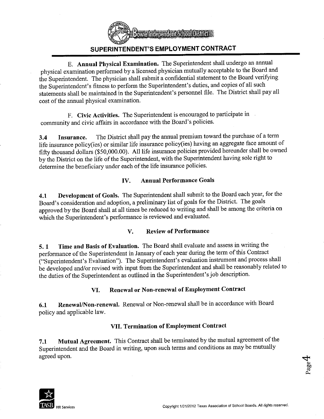

E. Annual Physical Examination. The Superintendent shall undergo an annual physical examination performed by a licensed physician mutually acceptable to the Board and the Superintendent. The physician shall submit a confidential statement to the Board verifying the Superintendent's fitness to perform the Superintendent's duties, and copies of all such statements shall be maintained in the Superintendent's personnel file. The District shall pay all cost of the annual physical examination.

F. Civic Activities. The Superintendent is encouraged to participate in community and civic affairs in accordance with the Board's policies.

The District shall pay the annual premium toward the purchase of a term  $3.4$ Insurance. life insurance policy(ies) or similar life insurance policy(ies) having an aggregate face amount of fifty thousand dollars (\$50,000.00). All life insurance policies provided hereunder shall be owned by the District on the life of the Superintendent, with the Superintendent having sole right to determine the beneficiary under each of the life insurance policies.

#### **Annual Performance Goals** IV.

Development of Goals. The Superintendent shall submit to the Board each year, for the 4.1 Board's consideration and adoption, a preliminary list of goals for the District. The goals approved by the Board shall at all times be reduced to writing and shall be among the criteria on which the Superintendent's performance is reviewed and evaluated.

#### **Review of Performance** V.

Time and Basis of Evaluation. The Board shall evaluate and assess in writing the  $5.1$ performance of the Superintendent in January of each year during the term of this Contract ("Superintendent's Evaluation"). The Superintendent's evaluation instrument and process shall be developed and/or revised with input from the Superintendent and shall be reasonably related to the duties of the Superintendent as outlined in the Superintendent's job description.

#### Renewal or Non-renewal of Employment Contract VI.

Renewal/Non-renewal. Renewal or Non-renewal shall be in accordance with Board  $6.1$ policy and applicable law.

#### VII. Termination of Employment Contract

Mutual Agreement. This Contract shall be terminated by the mutual agreement of the 7.1 Superintendent and the Board in writing, upon such terms and conditions as may be mutually agreed upon.

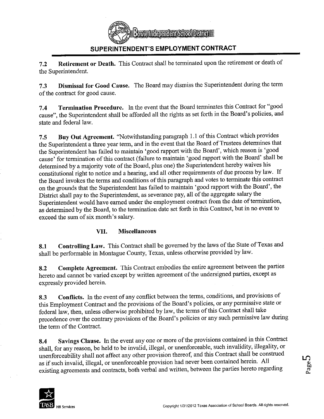

Retirement or Death. This Contract shall be terminated upon the retirement or death of  $7.2$ the Superintendent.

Dismissal for Good Cause. The Board may dismiss the Superintendent during the term  $7.3$ of the contract for good cause.

Termination Procedure. In the event that the Board terminates this Contract for "good  $7.4$ cause", the Superintendent shall be afforded all the rights as set forth in the Board's policies, and state and federal law.

Buy Out Agreement. "Notwithstanding paragraph 1.1 of this Contract which provides  $7.5$ the Superintendent a three year term, and in the event that the Board of Trustees determines that the Superintendent has failed to maintain 'good rapport with the Board', which reason is 'good cause' for termination of this contract (failure to maintain 'good rapport with the Board' shall be determined by a majority vote of the Board, plus one) the Superintendent hereby waives his constitutional right to notice and a hearing, and all other requirements of due process by law. If the Board invokes the terms and conditions of this paragraph and votes to terminate this contract on the grounds that the Superintendent has failed to maintain 'good rapport with the Board', the District shall pay to the Superintendent, as severance pay, all of the aggregate salary the Superintendent would have earned under the employment contract from the date of termination, as determined by the Board, to the termination date set forth in this Contract, but in no event to exceed the sum of six month's salary.

#### VII. **Miscellaneous**

Controlling Law. This Contract shall be governed by the laws of the State of Texas and 8.1 shall be performable in Montague County, Texas, unless otherwise provided by law.

Complete Agreement. This Contract embodies the entire agreement between the parties 8.2 hereto and cannot be varied except by written agreement of the undersigned parties, except as expressly provided herein.

Conflicts. In the event of any conflict between the terms, conditions, and provisions of 8.3 this Employment Contract and the provisions of the Board's policies, or any permissive state or federal law, then, unless otherwise prohibited by law, the terms of this Contract shall take precedence over the contrary provisions of the Board's policies or any such permissive law during the term of the Contract.

Savings Clause. In the event any one or more of the provisions contained in this Contract 8.4 shall, for any reason, be held to be invalid, illegal, or unenforceable, such invalidity, illegality, or unenforceability shall not affect any other provision thereof, and this Contract shall be construed as if such invalid, illegal, or unenforceable provision had never been contained herein. All existing agreements and contracts, both verbal and written, between the parties hereto regarding

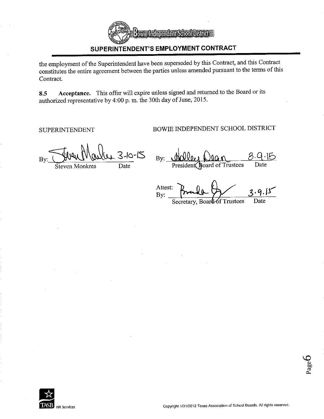

the employment of the Superintendent have been superseded by this Contract, and this Contract constitutes the entire agreement between the parties unless amended pursuant to the terms of this Contract.

Acceptance. This offer will expire unless signed and returned to the Board or its 8.5 authorized representative by 4:00 p.m. the 30th day of June, 2015.

**SUPERINTENDENT** 

BOWIE INDEPENDENT SCHOOL DISTRICT

 $3-10-15$ By Date

**Steven Monkres** 

 $By:$ President Roard of Trustees Date

Attest: By. Secretary, Board of Trustees Date

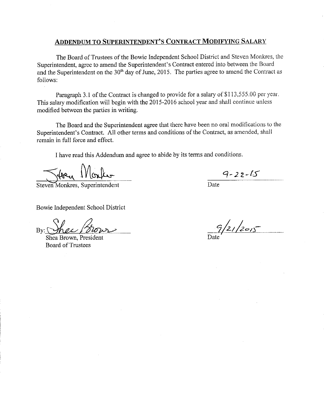#### **ADDENDUM TO SUPERINTENDENT'S CONTRACT MODIFYING SALARY**

The Board of Trustees of the Bowie Independent School District and Steven Monkres, the Superintendent, agree to amend the Superintendent's Contract entered into between the Board and the Superintendent on the 30<sup>th</sup> day of June, 2015. The parties agree to amend the Contract as follows:

Paragraph 3.1 of the Contract is changed to provide for a salary of \$113,555.00 per year. This salary modification will begin with the 2015-2016 school year and shall continue unless modified between the parties in writing.

The Board and the Superintendent agree that there have been no oral modifications to the Superintendent's Contract. All other terms and conditions of the Contract, as amended, shall remain in full force and effect.

I have read this Addendum and agree to abide by its terms and conditions.

Worker Lec,

Steven Monkres, Superintendent

Bowie Independent School District

hou  $Bv:$ 

Shea Brown, President **Board of Trustees** 

 $9 - 22 - 15$ 

Date.

 $9/21/2015$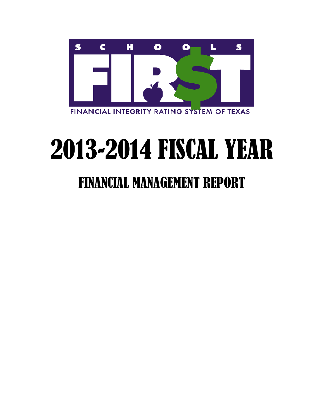

# 2013-2014 FISCAL YEAR

# FINANCIAL MANAGEMENT REPORT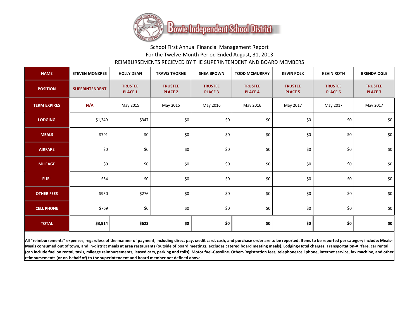

## School First Annual Financial Management Report For the Twelve-Month Period Ended August, 31, 2013 REIMBURSEMENTS RECIEVED BY THE SUPERINTENDENT AND BOARD MEMBERS

| <b>NAME</b>                                                                                                                                                                                                                                                                                                                                                                                                                                                                                                                                                                                                                                                                                                                                                                                                                                                          | <b>STEVEN MONKRES</b> | <b>HOLLY DEAN</b>                | <b>TRAVIS THORNE</b>             | <b>SHEA BROWN</b>                | <b>TODD MCMURRAY</b>             | <b>KEVIN POLK</b>                | <b>KEVIN ROTH</b>                | <b>BRENDA OGLE</b>               |
|----------------------------------------------------------------------------------------------------------------------------------------------------------------------------------------------------------------------------------------------------------------------------------------------------------------------------------------------------------------------------------------------------------------------------------------------------------------------------------------------------------------------------------------------------------------------------------------------------------------------------------------------------------------------------------------------------------------------------------------------------------------------------------------------------------------------------------------------------------------------|-----------------------|----------------------------------|----------------------------------|----------------------------------|----------------------------------|----------------------------------|----------------------------------|----------------------------------|
| <b>POSITION</b>                                                                                                                                                                                                                                                                                                                                                                                                                                                                                                                                                                                                                                                                                                                                                                                                                                                      | <b>SUPERINTENDENT</b> | <b>TRUSTEE</b><br><b>PLACE 1</b> | <b>TRUSTEE</b><br><b>PLACE 2</b> | <b>TRUSTEE</b><br><b>PLACE 3</b> | <b>TRUSTEE</b><br><b>PLACE 4</b> | <b>TRUSTEE</b><br><b>PLACE 5</b> | <b>TRUSTEE</b><br><b>PLACE 6</b> | <b>TRUSTEE</b><br><b>PLACE 7</b> |
| <b>TERM EXPIRES</b>                                                                                                                                                                                                                                                                                                                                                                                                                                                                                                                                                                                                                                                                                                                                                                                                                                                  | N/A                   | May 2015                         | May 2015                         | May 2016                         | May 2016                         | May 2017                         | May 2017                         | May 2017                         |
| <b>LODGING</b>                                                                                                                                                                                                                                                                                                                                                                                                                                                                                                                                                                                                                                                                                                                                                                                                                                                       | \$1,349               | \$347                            | \$0                              | \$0                              | \$0                              | \$0                              | \$0                              | \$0                              |
| <b>MEALS</b>                                                                                                                                                                                                                                                                                                                                                                                                                                                                                                                                                                                                                                                                                                                                                                                                                                                         | \$791                 | \$0                              | \$0                              | \$0                              | \$0                              | \$0                              | \$0                              | \$0                              |
| <b>AIRFARE</b>                                                                                                                                                                                                                                                                                                                                                                                                                                                                                                                                                                                                                                                                                                                                                                                                                                                       | \$0                   | \$0                              | \$0                              | \$0                              | \$0                              | \$0                              | \$0                              | \$0                              |
| <b>MILEAGE</b>                                                                                                                                                                                                                                                                                                                                                                                                                                                                                                                                                                                                                                                                                                                                                                                                                                                       | \$0                   | \$0                              | \$0                              | \$0                              | \$0                              | \$0                              | \$0                              | \$0                              |
| <b>FUEL</b>                                                                                                                                                                                                                                                                                                                                                                                                                                                                                                                                                                                                                                                                                                                                                                                                                                                          | \$54                  | \$0                              | \$0                              | \$0                              | \$0                              | \$0                              | \$0                              | \$0                              |
| <b>OTHER FEES</b>                                                                                                                                                                                                                                                                                                                                                                                                                                                                                                                                                                                                                                                                                                                                                                                                                                                    | \$950                 | \$276                            | \$0                              | \$0                              | \$0                              | \$0                              | \$0                              | \$0                              |
| <b>CELL PHONE</b>                                                                                                                                                                                                                                                                                                                                                                                                                                                                                                                                                                                                                                                                                                                                                                                                                                                    | \$769                 | \$0                              | \$0                              | \$0                              | \$0                              | \$0                              | \$0                              | \$0                              |
| <b>TOTAL</b>                                                                                                                                                                                                                                                                                                                                                                                                                                                                                                                                                                                                                                                                                                                                                                                                                                                         | \$3,914               | \$623                            | \$0                              | \$0                              | \$0                              | \$0                              | \$0                              | \$0\$                            |
| All "reimbursements" expenses, regardless of the manner of payment, including direct pay, credit card, cash, and purchase order are to be reported. Items to be reported per category include: Meals-<br>Meals consumed out of town, and in-district meals at area restaurants (outside of board meetings, excludes catered board meeting meals). Lodging-Hotel charges. Transportation-Airfare, car rental<br>(can include fuel on rental, taxis, mileage reimbursements, leased cars, parking and tolls). Motor fuel-Gasoline. Other:-Registration fees, telephone/cell phone, internet service, fax machine, and other<br>$\mathcal{L}$ and $\mathcal{L}$ are the contract of the contract of the contract of the contract of the contract of the contract of the contract of the contract of the contract of the contract of the contract of the contract of the |                       |                                  |                                  |                                  |                                  |                                  |                                  |                                  |

**reimbursements (or on-behalf of) to the superintendent and board member not defined above.**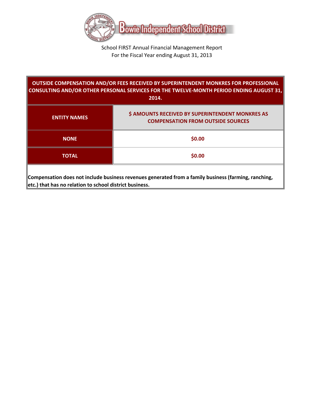

#### School FIRST Annual Financial Management Report For the Fiscal Year ending August 31, 2013

| OUTSIDE COMPENSATION AND/OR FEES RECEIVED BY SUPERINTENDENT MONKRES FOR PROFESSIONAL<br>CONSULTING AND/OR OTHER PERSONAL SERVICES FOR THE TWELVE-MONTH PERIOD ENDING AUGUST 31,<br>2014. |                                                                                              |  |  |  |  |
|------------------------------------------------------------------------------------------------------------------------------------------------------------------------------------------|----------------------------------------------------------------------------------------------|--|--|--|--|
| <b>ENTITY NAMES</b>                                                                                                                                                                      | \$ AMOUNTS RECEIVED BY SUPERINTENDENT MONKRES AS<br><b>COMPENSATION FROM OUTSIDE SOURCES</b> |  |  |  |  |
| <b>NONE</b>                                                                                                                                                                              | \$0.00                                                                                       |  |  |  |  |
| <b>TOTAL</b>                                                                                                                                                                             | \$0.00                                                                                       |  |  |  |  |
| Compensation does not include business revenues generated from a family business (farming, ranching,<br>etc.) that has no relation to school district business.                          |                                                                                              |  |  |  |  |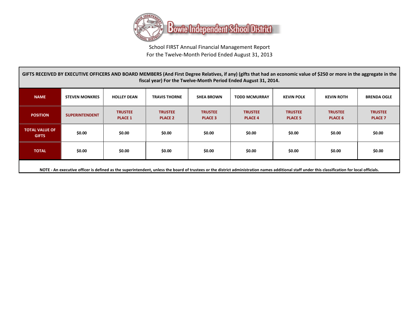

School FIRST Annual Financial Management Report For the Twelve-Month Period Ended August 31, 2013

| GIFTS RECEIVED BY EXECUTIVE OFFICERS AND BOARD MEMBERS (And First Degree Relatives, if any) (gifts that had an economic value of \$250 or more in the aggregate in the<br>fiscal year) For the Twelve-Month Period Ended August 31, 2014. |                       |                                  |                                  |                                  |                                  |                                  |                                  |                                  |
|-------------------------------------------------------------------------------------------------------------------------------------------------------------------------------------------------------------------------------------------|-----------------------|----------------------------------|----------------------------------|----------------------------------|----------------------------------|----------------------------------|----------------------------------|----------------------------------|
| <b>NAME</b>                                                                                                                                                                                                                               | <b>STEVEN MONKRES</b> | <b>HOLLEY DEAN</b>               | <b>TRAVIS THORNE</b>             | <b>SHEA BROWN</b>                | <b>TODD MCMURRAY</b>             | <b>KEVIN POLK</b>                | <b>KEVIN ROTH</b>                | <b>BRENDA OGLE</b>               |
| <b>POSITION</b>                                                                                                                                                                                                                           | <b>SUPERINTENDENT</b> | <b>TRUSTEE</b><br><b>PLACE 1</b> | <b>TRUSTEE</b><br><b>PLACE 2</b> | <b>TRUSTEE</b><br><b>PLACE 3</b> | <b>TRUSTEE</b><br><b>PLACE 4</b> | <b>TRUSTEE</b><br><b>PLACE 5</b> | <b>TRUSTEE</b><br><b>PLACE 6</b> | <b>TRUSTEE</b><br><b>PLACE 7</b> |
| <b>TOTAL VALUE OF</b><br><b>GIFTS</b>                                                                                                                                                                                                     | \$0.00                | \$0.00                           | \$0.00                           | \$0.00                           | \$0.00                           | \$0.00                           | \$0.00                           | \$0.00                           |
| <b>TOTAL</b>                                                                                                                                                                                                                              | \$0.00                | \$0.00                           | \$0.00                           | \$0.00                           | \$0.00                           | \$0.00                           | \$0.00                           | \$0.00                           |
| NOTE An executive officer is defined as the superintendent unless the hoard of trustees or the district administration names additional staff under this classification for local officials                                               |                       |                                  |                                  |                                  |                                  |                                  |                                  |                                  |

**NOTE - An executive officer is defined as the superintendent, unless the board of trustees or the district administration names additional staff under this classification for local officials.**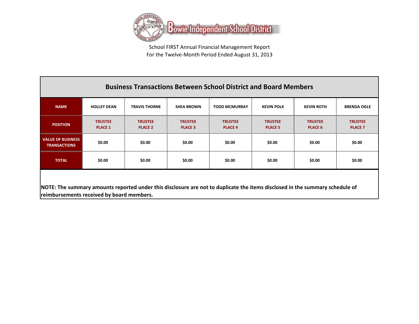

School FIRST Annual Financial Management Report For the Twelve-Month Period Ended August 31, 2013

#### **NAME HOLLEY DEAN TRAVIS THORNE SHEA BROWN TODD MCMURRAY KEVIN POLK KEVIN ROTH BRENDA OGLE POSITION TRUSTEE PLACE 1 TRUSTEE PLACE 2 TRUSTEE PLACE 3 TRUSTEE PLACE 4 TRUSTEE PLACE 5 TRUSTEE PLACE 6 VALUE OF BUSINESS TRANSACTIONS \$0.00 \$0.00 \$0.00 \$0.00 \$0.00 \$0.00 \$0.00 TOTAL \$0.00 \$0.00 \$0.00 \$0.00 \$0.00 \$0.00 \$0.00 Business Transactions Between School District and Board Members**

| <b>BRENDA OGLE</b>               |
|----------------------------------|
| <b>TRUSTEE</b><br><b>PLACE 7</b> |
| \$0.00                           |
| \$0.00                           |
|                                  |

**NOTE: The summary amounts reported under this disclosure are not to duplicate the items disclosed in the summary schedule of reimbursements received by board members.**